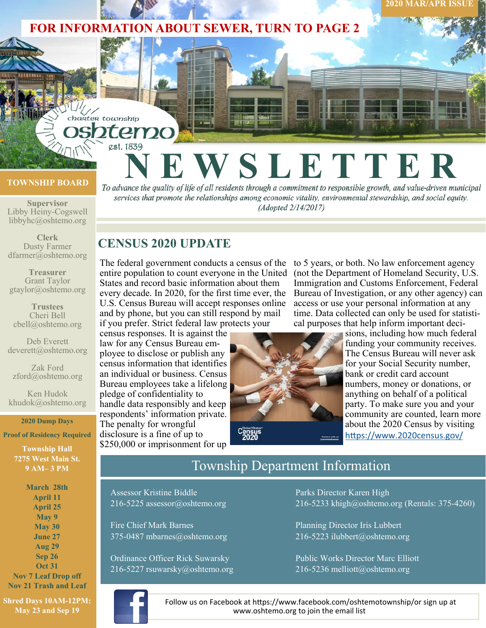

#### **TOWNSHIP BOARD**

**Supervisor**  Libby Heiny-Cogswell libbyhc@oshtemo.org

**Clerk**  Dusty Farmer dfarmer@oshtemo.org

**Treasurer**  Grant Taylor gtaylor@oshtemo.org

**Trustees**  Cheri Bell<br>cbell@oshtemo.org

Deb Everett deverett@oshtemo.org

Zak Ford zford@oshtemo.org

Ken Hudok khudok@oshtemo.org

#### **2020 Dump Days**

**Proof of Residency Required** 

**Township Hall 7275 West Main St. 9 AM– 3 PM** 

**March 28th April 11 April 25 May 9 May 30 June 27 Aug 29 Sep 26 Oct 31 Nov 7 Leaf Drop off** 

**Nov 21 Trash and Leaf** 

**Shred Days 10AM-12PM: May 23 and Sep 19** 

To advance the quality of life of all residents through a commitment to responsible growth, and value-driven municipal

services that promote the relationships among economic vitality, environmental stewardship, and social equity. (Adopted 2/14/2017)

# **CENSUS 2020 UPDATE**

est. 1839

charter township

The federal government conducts a census of the entire population to count everyone in the United States and record basic information about them every decade. In 2020, for the first time ever, the U.S. Census Bureau will accept responses online and by phone, but you can still respond by mail if you prefer. Strict federal law protects your

census responses. It is against the law for any Census Bureau employee to disclose or publish any census information that identifies an individual or business. Census Bureau employees take a lifelong pledge of confidentiality to handle data responsibly and keep respondents' information private. The penalty for wrongful disclosure is a fine of up to \$250,000 or imprisonment for up



to 5 years, or both. No law enforcement agency (not the Department of Homeland Security, U.S. Immigration and Customs Enforcement, Federal Bureau of Investigation, or any other agency) can access or use your personal information at any time. Data collected can only be used for statistical purposes that help inform important deci-

sions, including how much federal funding your community receives. The Census Bureau will never ask for your Social Security number, bank or credit card account numbers, money or donations, or anything on behalf of a political party. To make sure you and your community are counted, learn more about the 2020 Census by visiting https://www.2020census.gov/

**2020 MAR/APR ISSUE** 

# Township Department Information

Assessor Kristine Biddle 216-5225 assessor@oshtemo.org

Fire Chief Mark Barnes 375-0487 mbarnes@oshtemo.org

Ordinance Officer Rick Suwarsky 216-5227 rsuwarsky@oshtemo.org Parks Director Karen High 216-5233 khigh@oshtemo.org (Rentals: 375-4260)

Planning Director Iris Lubbert 216-5223 ilubbert@oshtemo.org

Public Works Director Marc Elliott 216-5236 melliott@oshtemo.org



Follow us on Facebook at https://www.facebook.com/oshtemotownship/or sign up at www.oshtemo.org to join the email list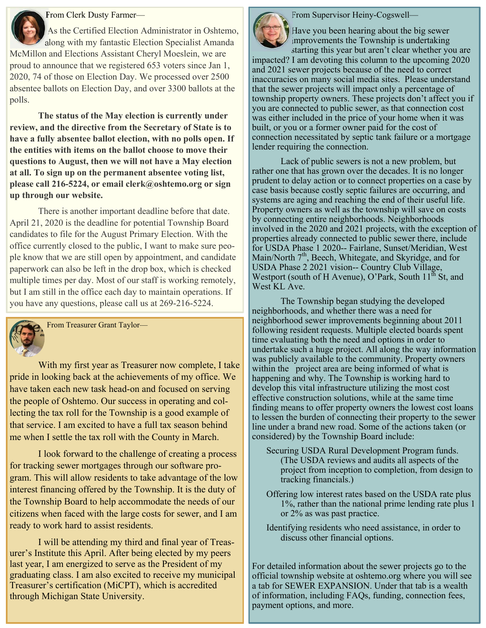### From Clerk Dusty Farmer—

As the Certified Election Administrator in Oshtemo, along with my fantastic Election Specialist Amanda McMillon and Elections Assistant Cheryl Moeslein, we are proud to announce that we registered 653 voters since Jan 1, 2020, 74 of those on Election Day. We processed over 2500 absentee ballots on Election Day, and over 3300 ballots at the polls.

**The status of the May election is currently under review, and the directive from the Secretary of State is to have a fully absentee ballot election, with no polls open. If the entities with items on the ballot choose to move their questions to August, then we will not have a May election at all. To sign up on the permanent absentee voting list, please call 216-5224, or email clerk@oshtemo.org or sign up through our website.** 

 There is another important deadline before that date. April 21, 2020 is the deadline for potential Township Board candidates to file for the August Primary Election. With the office currently closed to the public, I want to make sure people know that we are still open by appointment, and candidate paperwork can also be left in the drop box, which is checked multiple times per day. Most of our staff is working remotely, but I am still in the office each day to maintain operations. If you have any questions, please call us at 269-216-5224.

From Treasurer Grant Taylor—

With my first year as Treasurer now complete, I take pride in looking back at the achievements of my office. We have taken each new task head-on and focused on serving the people of Oshtemo. Our success in operating and collecting the tax roll for the Township is a good example of that service. I am excited to have a full tax season behind me when I settle the tax roll with the County in March.

 I look forward to the challenge of creating a process for tracking sewer mortgages through our software program. This will allow residents to take advantage of the low interest financing offered by the Township. It is the duty of the Township Board to help accommodate the needs of our citizens when faced with the large costs for sewer, and I am ready to work hard to assist residents.

 I will be attending my third and final year of Treasurer's Institute this April. After being elected by my peers last year, I am energized to serve as the President of my graduating class. I am also excited to receive my municipal Treasurer's certification (MiCPT), which is accredited through Michigan State University.



From Supervisor Heiny-Cogswell—

Have you been hearing about the big sewer improvements the Township is undertaking starting this year but aren't clear whether you are

impacted? I am devoting this column to the upcoming 2020 and 2021 sewer projects because of the need to correct inaccuracies on many social media sites. Please understand that the sewer projects will impact only a percentage of township property owners. These projects don't affect you if you are connected to public sewer, as that connection cost was either included in the price of your home when it was built, or you or a former owner paid for the cost of connection necessitated by septic tank failure or a mortgage lender requiring the connection.

 Lack of public sewers is not a new problem, but rather one that has grown over the decades. It is no longer prudent to delay action or to connect properties on a case by case basis because costly septic failures are occurring, and systems are aging and reaching the end of their useful life. Property owners as well as the township will save on costs by connecting entire neighborhoods. Neighborhoods involved in the 2020 and 2021 projects, with the exception of properties already connected to public sewer there, include for USDA Phase 1 2020-- Fairlane, Sunset/Meridian, West Main/North 7<sup>th</sup>, Beech, Whitegate, and Skyridge, and for USDA Phase 2 2021 vision-- Country Club Village, Westport (south of H Avenue), O'Park, South  $11<sup>th</sup>$  St, and West KL Ave.

 The Township began studying the developed neighborhoods, and whether there was a need for neighborhood sewer improvements beginning about 2011 following resident requests. Multiple elected boards spent time evaluating both the need and options in order to undertake such a huge project. All along the way information was publicly available to the community. Property owners within the project area are being informed of what is happening and why. The Township is working hard to develop this vital infrastructure utilizing the most cost effective construction solutions, while at the same time finding means to offer property owners the lowest cost loans to lessen the burden of connecting their property to the sewer line under a brand new road. Some of the actions taken (or considered) by the Township Board include:

- Securing USDA Rural Development Program funds. (The USDA reviews and audits all aspects of the project from inception to completion, from design to tracking financials.)
- Offering low interest rates based on the USDA rate plus 1%, rather than the national prime lending rate plus 1 or 2% as was past practice.
- Identifying residents who need assistance, in order to discuss other financial options.

For detailed information about the sewer projects go to the official township website at oshtemo.org where you will see a tab for SEWER EXPANSION. Under that tab is a wealth of information, including FAQs, funding, connection fees, payment options, and more.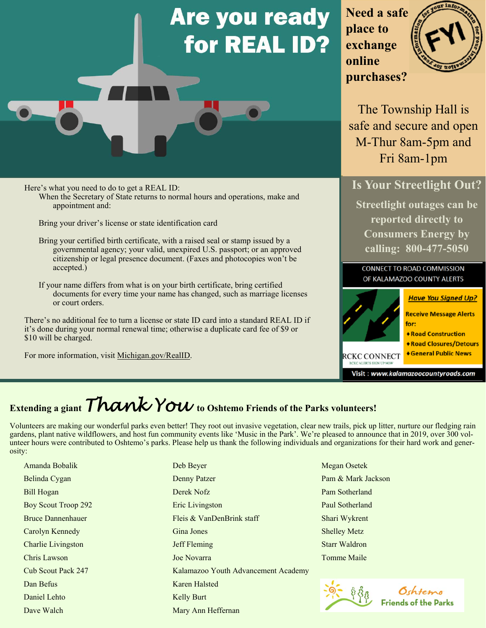# **Are you ready** for REAL ID?

**Need a safe place to exchange online purchases?** 



The Township Hall is safe and secure and open M-Thur 8am-5pm and Fri 8am-1pm

**Is Your Streetlight Out?** 

**Streetlight outages can be reported directly to Consumers Energy by calling: 800-477-5050** 

**CONNECT TO ROAD COMMISSION** OF KALAMAZOO COUNTY ALERTS



Here's what you need to do to get a REAL ID: When the Secretary of State returns to normal hours and operations, make and appointment and:

Bring your driver's license or state identification card

Bring your certified birth certificate, with a raised seal or stamp issued by a governmental agency; your valid, unexpired U.S. passport; or an approved citizenship or legal presence document. (Faxes and photocopies won't be accepted.)

If your name differs from what is on your birth certificate, bring certified documents for every time your name has changed, such as marriage licenses or court orders.

There's no additional fee to turn a license or state ID card into a standard REAL ID if it's done during your normal renewal time; otherwise a duplicate card fee of \$9 or \$10 will be charged.

For more information, visit Michigan.gov/RealID.

# Extending a giant *Thank You* to Oshtemo Friends of the Parks volunteers!

Volunteers are making our wonderful parks even better! They root out invasive vegetation, clear new trails, pick up litter, nurture our fledging rain gardens, plant native wildflowers, and host fun community events like 'Music in the Park'. We're pleased to announce that in 2019, over 300 volunteer hours were contributed to Oshtemo's parks. Please help us thank the following individuals and organizations for their hard work and generosity:

Amanda Bobalik Belinda Cygan Bill Hogan Boy Scout Troop 292 Bruce Dannenhauer Carolyn Kennedy Charlie Livingston Chris Lawson Cub Scout Pack 247 Dan Befus Daniel Lehto Dave Walch

Deb Beyer Denny Patzer Derek Nofz Eric Livingston Fleis & VanDenBrink staff Gina Jones Jeff Fleming Joe Novarra Kalamazoo Youth Advancement Academy Karen Halsted Kelly Burt Mary Ann Heffernan

Megan Osetek Pam & Mark Jackson Pam Sotherland Paul Sotherland Shari Wykrent Shelley Metz Starr Waldron Tomme Maile



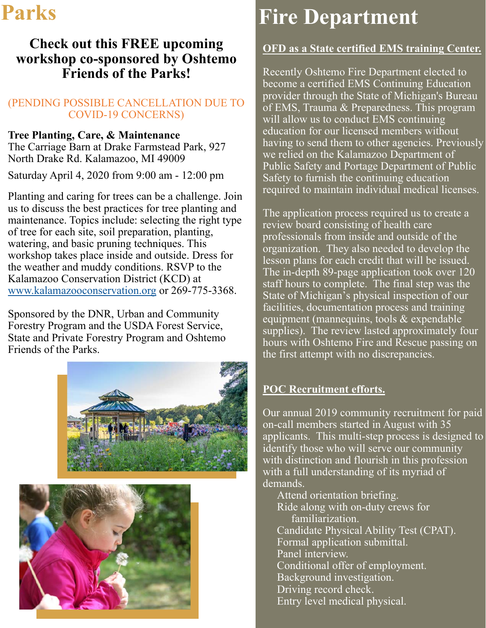# **Check out this FREE upcoming workshop co-sponsored by Oshtemo Friends of the Parks!**

### (PENDING POSSIBLE CANCELLATION DUE TO COVID-19 CONCERNS)

### **Tree Planting, Care, & Maintenance**

The Carriage Barn at Drake Farmstead Park, 927 North Drake Rd. Kalamazoo, MI 49009

Saturday April 4, 2020 from 9:00 am - 12:00 pm

Planting and caring for trees can be a challenge. Join us to discuss the best practices for tree planting and maintenance. Topics include: selecting the right type of tree for each site, soil preparation, planting, watering, and basic pruning techniques. This workshop takes place inside and outside. Dress for the weather and muddy conditions. RSVP to the Kalamazoo Conservation District (KCD) at www.kalamazooconservation.org or 269‐775‐3368.

Sponsored by the DNR, Urban and Community Forestry Program and the USDA Forest Service, State and Private Forestry Program and Oshtemo Friends of the Parks.





# Parks Fire Department

# **OFD as a State certified EMS training Center.**

Recently Oshtemo Fire Department elected to become a certified EMS Continuing Education provider through the State of Michigan's Bureau of EMS, Trauma & Preparedness. This program will allow us to conduct EMS continuing education for our licensed members without having to send them to other agencies. Previously we relied on the Kalamazoo Department of Public Safety and Portage Department of Public Safety to furnish the continuing education required to maintain individual medical licenses.

The application process required us to create a review board consisting of health care professionals from inside and outside of the organization. They also needed to develop the lesson plans for each credit that will be issued. The in-depth 89-page application took over 120 staff hours to complete. The final step was the State of Michigan's physical inspection of our facilities, documentation process and training equipment (mannequins, tools & expendable supplies). The review lasted approximately four hours with Oshtemo Fire and Rescue passing on the first attempt with no discrepancies.

## **POC Recruitment efforts.**

Our annual 2019 community recruitment for paid on-call members started in August with 35 applicants. This multi-step process is designed to identify those who will serve our community with distinction and flourish in this profession with a full understanding of its myriad of demands.

Attend orientation briefing. Ride along with on-duty crews for familiarization. Candidate Physical Ability Test (CPAT). Formal application submittal. Panel interview. Conditional offer of employment. Background investigation. Driving record check. Entry level medical physical.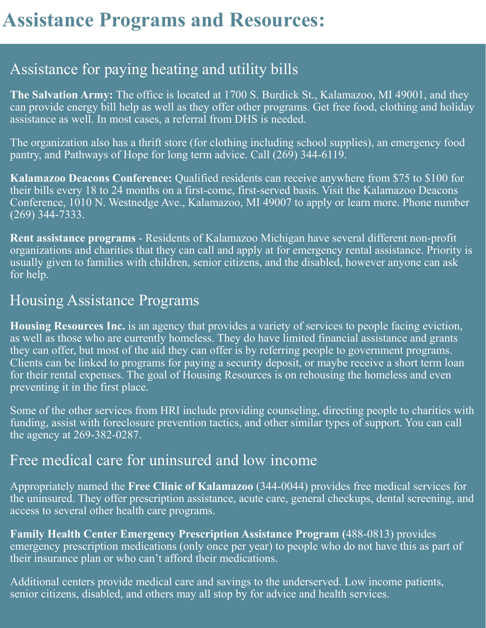# Assistance for paying heating and utility bills

**The Salvation Army:** The office is located at 1700 S. Burdick St., Kalamazoo, MI 49001, and they can provide energy bill help as well as they offer other programs. Get free food, clothing and holiday assistance as well. In most cases, a referral from DHS is needed.

The organization also has a thrift store (for clothing including school supplies), an emergency food pantry, and Pathways of Hope for long term advice. Call (269) 344-6119.

**Kalamazoo Deacons Conference:** Qualified residents can receive anywhere from \$75 to \$100 for their bills every 18 to 24 months on a first-come, first-served basis. Visit the Kalamazoo Deacons Conference, 1010 N. Westnedge Ave., Kalamazoo, MI 49007 to apply or learn more. Phone number (269) 344-7333.

**Rent assistance programs** - Residents of Kalamazoo Michigan have several different non-profit organizations and charities that they can call and apply at for emergency rental assistance. Priority is usually given to families with children, senior citizens, and the disabled, however anyone can ask for help.

# Housing Assistance Programs

**Housing Resources Inc.** is an agency that provides a variety of services to people facing eviction, as well as those who are currently homeless. They do have limited financial assistance and grants they can offer, but most of the aid they can offer is by referring people to government programs. Clients can be linked to programs for paying a security deposit, or maybe receive a short term loan for their rental expenses. The goal of Housing Resources is on rehousing the homeless and even preventing it in the first place.

Some of the other services from HRI include providing counseling, directing people to charities with funding, assist with foreclosure prevention tactics, and other similar types of support. You can call the agency at 269-382-0287.

# Free medical care for uninsured and low income

Appropriately named the **Free Clinic of Kalamazoo** (344-0044) provides free medical services for the uninsured. They offer prescription assistance, acute care, general checkups, dental screening, and access to several other health care programs.

**Family Health Center Emergency Prescription Assistance Program (**488-0813) provides emergency prescription medications (only once per year) to people who do not have this as part of their insurance plan or who can't afford their medications.

Additional centers provide medical care and savings to the underserved. Low income patients, senior citizens, disabled, and others may all stop by for advice and health services.